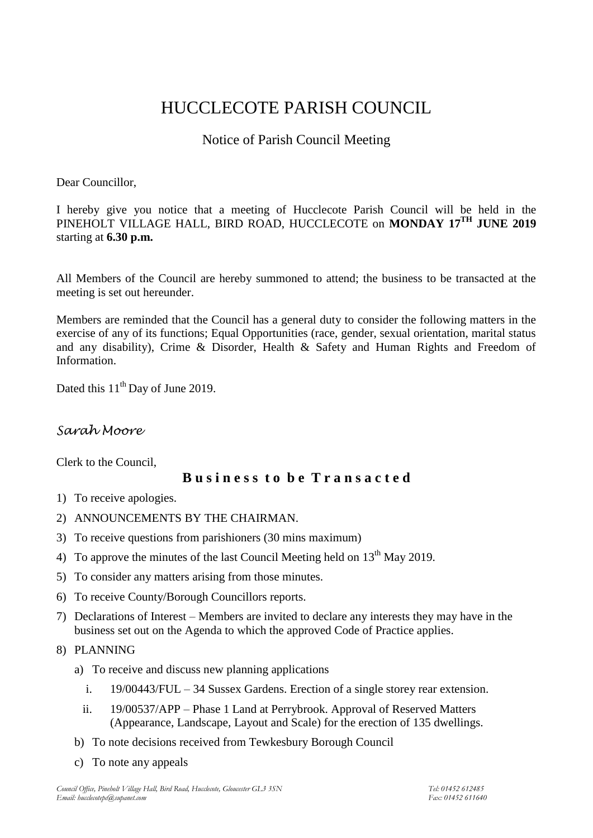# HUCCLECOTE PARISH COUNCIL

## Notice of Parish Council Meeting

#### Dear Councillor,

I hereby give you notice that a meeting of Hucclecote Parish Council will be held in the PINEHOLT VILLAGE HALL, BIRD ROAD, HUCCLECOTE on **MONDAY 17TH JUNE 2019** starting at **6.30 p.m.**

All Members of the Council are hereby summoned to attend; the business to be transacted at the meeting is set out hereunder.

Members are reminded that the Council has a general duty to consider the following matters in the exercise of any of its functions; Equal Opportunities (race, gender, sexual orientation, marital status and any disability), Crime & Disorder, Health & Safety and Human Rights and Freedom of Information.

Dated this  $11<sup>th</sup>$  Day of June 2019.

## *Sarah Moore*

Clerk to the Council,

### **B u s i n e s s t o b e T r a n s a c t e d**

- 1) To receive apologies.
- 2) ANNOUNCEMENTS BY THE CHAIRMAN.
- 3) To receive questions from parishioners (30 mins maximum)
- 4) To approve the minutes of the last Council Meeting held on  $13<sup>th</sup>$  May 2019.
- 5) To consider any matters arising from those minutes.
- 6) To receive County/Borough Councillors reports.
- 7) Declarations of Interest Members are invited to declare any interests they may have in the business set out on the Agenda to which the approved Code of Practice applies.
- 8) PLANNING
	- a) To receive and discuss new planning applications
		- i. 19/00443/FUL 34 Sussex Gardens. Erection of a single storey rear extension.
		- ii. 19/00537/APP Phase 1 Land at Perrybrook. Approval of Reserved Matters (Appearance, Landscape, Layout and Scale) for the erection of 135 dwellings.
	- b) To note decisions received from Tewkesbury Borough Council
	- c) To note any appeals